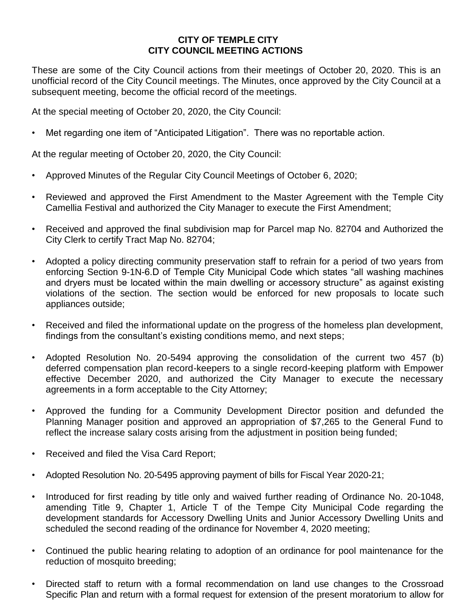## **CITY OF TEMPLE CITY CITY COUNCIL MEETING ACTIONS**

These are some of the City Council actions from their meetings of October 20, 2020. This is an unofficial record of the City Council meetings. The Minutes, once approved by the City Council at a subsequent meeting, become the official record of the meetings.

At the special meeting of October 20, 2020, the City Council:

Met regarding one item of "Anticipated Litigation". There was no reportable action.

At the regular meeting of October 20, 2020, the City Council:

- Approved Minutes of the Regular City Council Meetings of October 6, 2020;
- Reviewed and approved the First Amendment to the Master Agreement with the Temple City Camellia Festival and authorized the City Manager to execute the First Amendment;
- Received and approved the final subdivision map for Parcel map No. 82704 and Authorized the City Clerk to certify Tract Map No. 82704;
- Adopted a policy directing community preservation staff to refrain for a period of two years from enforcing Section 9-1N-6.D of Temple City Municipal Code which states "all washing machines and dryers must be located within the main dwelling or accessory structure" as against existing violations of the section. The section would be enforced for new proposals to locate such appliances outside;
- Received and filed the informational update on the progress of the homeless plan development, findings from the consultant's existing conditions memo, and next steps;
- Adopted Resolution No. 20-5494 approving the consolidation of the current two 457 (b) deferred compensation plan record-keepers to a single record-keeping platform with Empower effective December 2020, and authorized the City Manager to execute the necessary agreements in a form acceptable to the City Attorney;
- Approved the funding for a Community Development Director position and defunded the Planning Manager position and approved an appropriation of \$7,265 to the General Fund to reflect the increase salary costs arising from the adjustment in position being funded;
- Received and filed the Visa Card Report;
- Adopted Resolution No. 20-5495 approving payment of bills for Fiscal Year 2020-21;
- Introduced for first reading by title only and waived further reading of Ordinance No. 20-1048, amending Title 9, Chapter 1, Article T of the Tempe City Municipal Code regarding the development standards for Accessory Dwelling Units and Junior Accessory Dwelling Units and scheduled the second reading of the ordinance for November 4, 2020 meeting;
- Continued the public hearing relating to adoption of an ordinance for pool maintenance for the reduction of mosquito breeding;
- Directed staff to return with a formal recommendation on land use changes to the Crossroad Specific Plan and return with a formal request for extension of the present moratorium to allow for